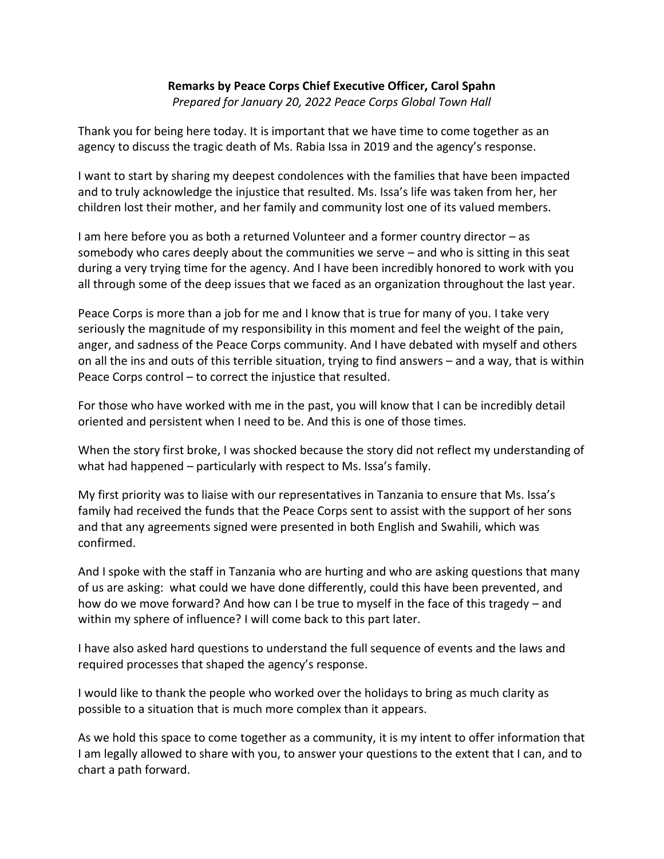## **Remarks by Peace Corps Chief Executive Officer, Carol Spahn**

*Prepared for January 20, 2022 Peace Corps Global Town Hall*

Thank you for being here today. It is important that we have time to come together as an agency to discuss the tragic death of Ms. Rabia Issa in 2019 and the agency's response.

I want to start by sharing my deepest condolences with the families that have been impacted and to truly acknowledge the injustice that resulted. Ms. Issa's life was taken from her, her children lost their mother, and her family and community lost one of its valued members.

I am here before you as both a returned Volunteer and a former country director – as somebody who cares deeply about the communities we serve – and who is sitting in this seat during a very trying time for the agency. And I have been incredibly honored to work with you all through some of the deep issues that we faced as an organization throughout the last year.

Peace Corps is more than a job for me and I know that is true for many of you. I take very seriously the magnitude of my responsibility in this moment and feel the weight of the pain, anger, and sadness of the Peace Corps community. And I have debated with myself and others on all the ins and outs of this terrible situation, trying to find answers – and a way, that is within Peace Corps control – to correct the injustice that resulted.

For those who have worked with me in the past, you will know that I can be incredibly detail oriented and persistent when I need to be. And this is one of those times.

When the story first broke, I was shocked because the story did not reflect my understanding of what had happened – particularly with respect to Ms. Issa's family.

My first priority was to liaise with our representatives in Tanzania to ensure that Ms. Issa's family had received the funds that the Peace Corps sent to assist with the support of her sons and that any agreements signed were presented in both English and Swahili, which was confirmed.

And I spoke with the staff in Tanzania who are hurting and who are asking questions that many of us are asking: what could we have done differently, could this have been prevented, and how do we move forward? And how can I be true to myself in the face of this tragedy – and within my sphere of influence? I will come back to this part later.

I have also asked hard questions to understand the full sequence of events and the laws and required processes that shaped the agency's response.

I would like to thank the people who worked over the holidays to bring as much clarity as possible to a situation that is much more complex than it appears.

As we hold this space to come together as a community, it is my intent to offer information that I am legally allowed to share with you, to answer your questions to the extent that I can, and to chart a path forward.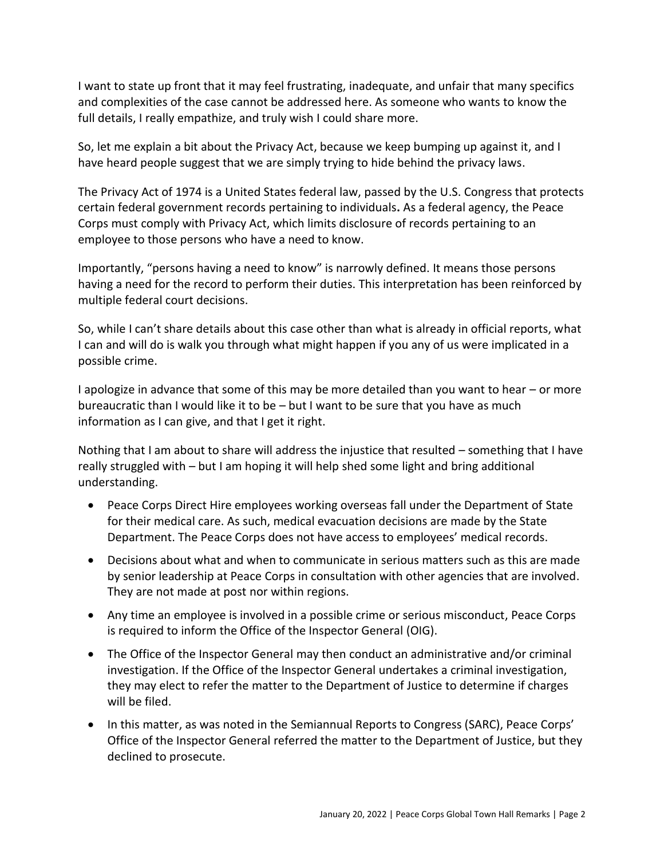I want to state up front that it may feel frustrating, inadequate, and unfair that many specifics and complexities of the case cannot be addressed here. As someone who wants to know the full details, I really empathize, and truly wish I could share more.

So, let me explain a bit about the Privacy Act, because we keep bumping up against it, and I have heard people suggest that we are simply trying to hide behind the privacy laws.

The Privacy Act of 1974 is a United States federal law, passed by the U.S. Congress that protects certain federal government records pertaining to individuals**.** As a federal agency, the Peace Corps must comply with Privacy Act, which limits disclosure of records pertaining to an employee to those persons who have a need to know.

Importantly, "persons having a need to know" is narrowly defined. It means those persons having a need for the record to perform their duties. This interpretation has been reinforced by multiple federal court decisions.

So, while I can't share details about this case other than what is already in official reports, what I can and will do is walk you through what might happen if you any of us were implicated in a possible crime.

I apologize in advance that some of this may be more detailed than you want to hear – or more bureaucratic than I would like it to be – but I want to be sure that you have as much information as I can give, and that I get it right.

Nothing that I am about to share will address the injustice that resulted – something that I have really struggled with – but I am hoping it will help shed some light and bring additional understanding.

- Peace Corps Direct Hire employees working overseas fall under the Department of State for their medical care. As such, medical evacuation decisions are made by the State Department. The Peace Corps does not have access to employees' medical records.
- Decisions about what and when to communicate in serious matters such as this are made by senior leadership at Peace Corps in consultation with other agencies that are involved. They are not made at post nor within regions.
- Any time an employee is involved in a possible crime or serious misconduct, Peace Corps is required to inform the Office of the Inspector General (OIG).
- The Office of the Inspector General may then conduct an administrative and/or criminal investigation. If the Office of the Inspector General undertakes a criminal investigation, they may elect to refer the matter to the Department of Justice to determine if charges will be filed.
- In this matter, as was noted in the Semiannual Reports to Congress (SARC), Peace Corps' Office of the Inspector General referred the matter to the Department of Justice, but they declined to prosecute.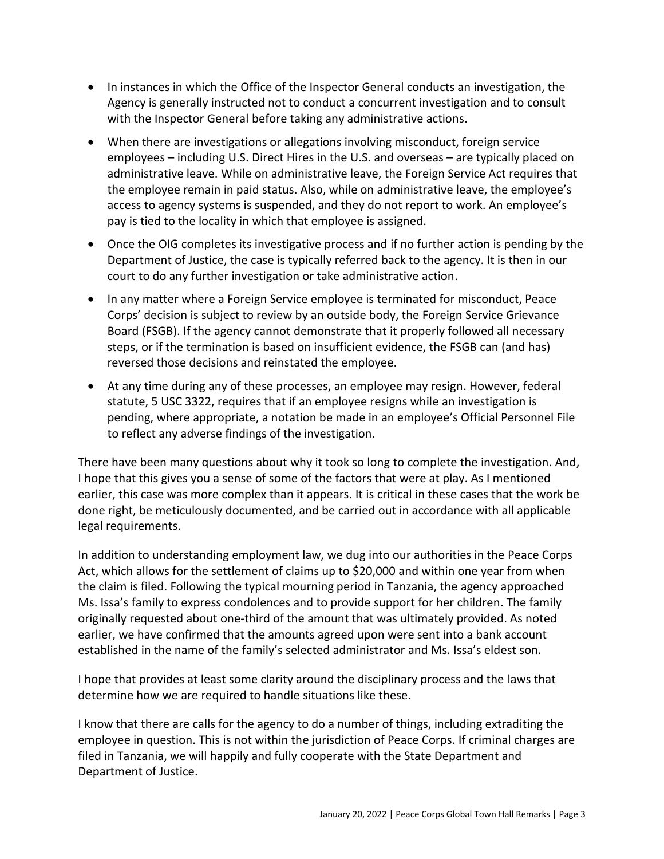- In instances in which the Office of the Inspector General conducts an investigation, the Agency is generally instructed not to conduct a concurrent investigation and to consult with the Inspector General before taking any administrative actions.
- When there are investigations or allegations involving misconduct, foreign service employees – including U.S. Direct Hires in the U.S. and overseas – are typically placed on administrative leave. While on administrative leave, the Foreign Service Act requires that the employee remain in paid status. Also, while on administrative leave, the employee's access to agency systems is suspended, and they do not report to work. An employee's pay is tied to the locality in which that employee is assigned.
- Once the OIG completes its investigative process and if no further action is pending by the Department of Justice, the case is typically referred back to the agency. It is then in our court to do any further investigation or take administrative action.
- In any matter where a Foreign Service employee is terminated for misconduct, Peace Corps' decision is subject to review by an outside body, the Foreign Service Grievance Board (FSGB). If the agency cannot demonstrate that it properly followed all necessary steps, or if the termination is based on insufficient evidence, the FSGB can (and has) reversed those decisions and reinstated the employee.
- At any time during any of these processes, an employee may resign. However, federal statute, 5 USC 3322, requires that if an employee resigns while an investigation is pending, where appropriate, a notation be made in an employee's Official Personnel File to reflect any adverse findings of the investigation.

There have been many questions about why it took so long to complete the investigation. And, I hope that this gives you a sense of some of the factors that were at play. As I mentioned earlier, this case was more complex than it appears. It is critical in these cases that the work be done right, be meticulously documented, and be carried out in accordance with all applicable legal requirements.

In addition to understanding employment law, we dug into our authorities in the Peace Corps Act, which allows for the settlement of claims up to \$20,000 and within one year from when the claim is filed. Following the typical mourning period in Tanzania, the agency approached Ms. Issa's family to express condolences and to provide support for her children. The family originally requested about one-third of the amount that was ultimately provided. As noted earlier, we have confirmed that the amounts agreed upon were sent into a bank account established in the name of the family's selected administrator and Ms. Issa's eldest son.

I hope that provides at least some clarity around the disciplinary process and the laws that determine how we are required to handle situations like these.

I know that there are calls for the agency to do a number of things, including extraditing the employee in question. This is not within the jurisdiction of Peace Corps. If criminal charges are filed in Tanzania, we will happily and fully cooperate with the State Department and Department of Justice.